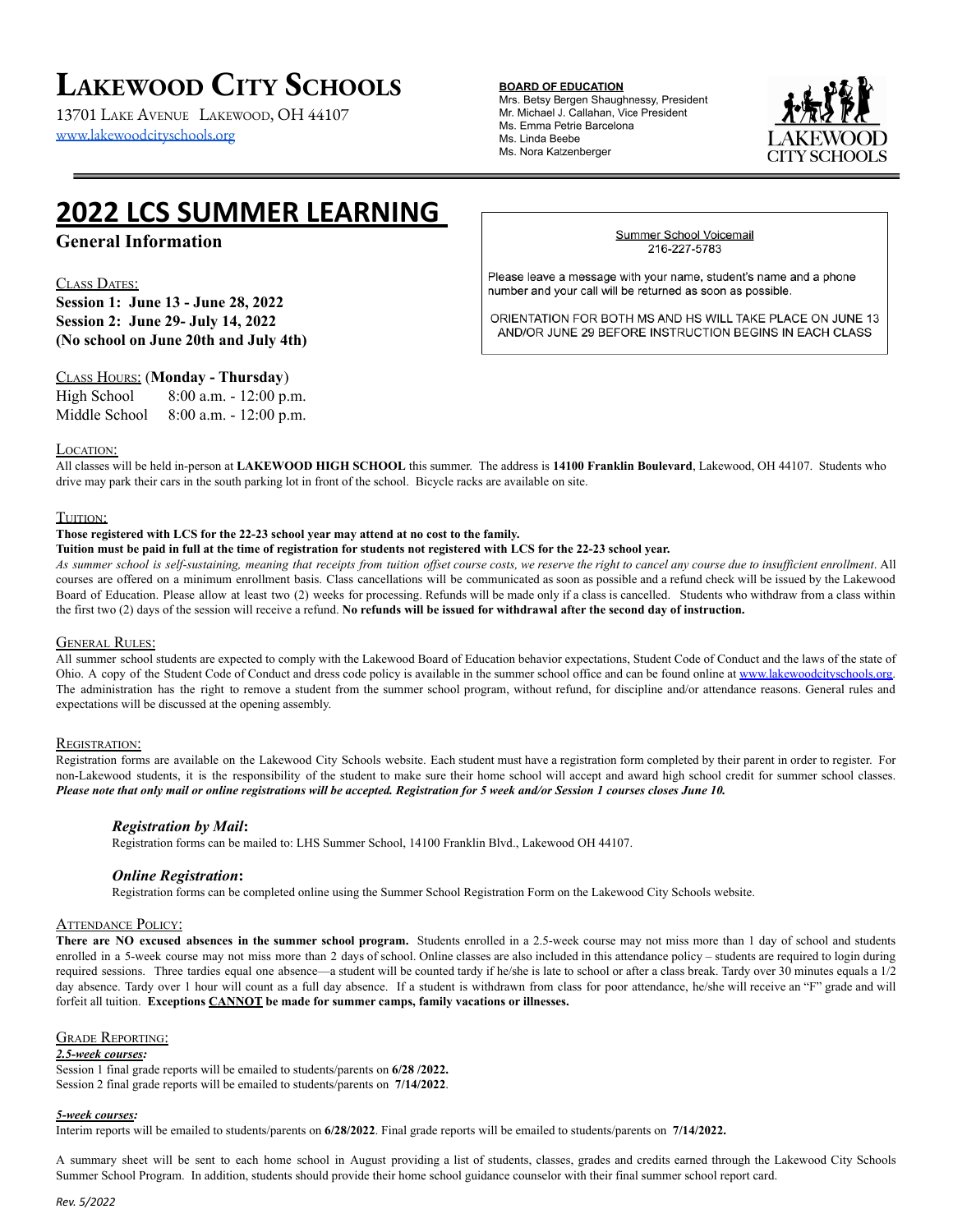# **LAKEWOOD CITY SCHOOLS**

13701 LAKE AVENUE LAKEWOOD, OH 44107 [www.lakewoodcityschools.org](http://www.lakewoodcityschools.org)

#### **BOARD OF EDUCATION**

Mrs. Betsy Bergen Shaughnessy, President Mr. Michael J. Callahan, Vice President Ms. Emma Petrie Barcelona Ms. Linda Beebe Ms. Nora Katzenberger



# **2022 LCS SUMMER LEARNING**

## **General Information**

#### CLASS DATES:

**Session 1: June 13 - June 28, 2022 Session 2: June 29- July 14, 2022 (No school on June 20th and July 4th)**

### CLASS HOURS: (**Monday - Thursday**)

| High School   | $8:00$ a.m. $-12:00$ p.m. |
|---------------|---------------------------|
| Middle School | $8:00$ a.m. $-12:00$ p.m. |

#### LOCATION:

All classes will be held in-person at **LAKEWOOD HIGH SCHOOL** this summer. The address is **14100 Franklin Boulevard**, Lakewood, OH 44107. Students who drive may park their cars in the south parking lot in front of the school. Bicycle racks are available on site.

#### TUITION:

#### **Those registered with LCS for the 22-23 school year may attend at no cost to the family.**

Tuition must be paid in full at the time of registration for students not registered with LCS for the 22-23 school year.

As summer school is self-sustaining, meaning that receipts from tuition offset course costs, we reserve the right to cancel any course due to insufficient enrollment. All courses are offered on a minimum enrollment basis. Class cancellations will be communicated as soon as possible and a refund check will be issued by the Lakewood Board of Education. Please allow at least two (2) weeks for processing. Refunds will be made only if a class is cancelled. Students who withdraw from a class within the first two  $(2)$  days of the session will receive a refund. No refunds will be issued for withdrawal after the second day of instruction.

#### **GENERAL RULES:**

All summer school students are expected to comply with the Lakewood Board of Education behavior expectations, Student Code of Conduct and the laws of the state of Ohio. A copy of the Student Code of Conduct and dress code policy is available in the summer school office and can be found online at [www.lakewoodcityschools.org.](http://www.lakewoodcityschools.org) The administration has the right to remove a student from the summer school program, without refund, for discipline and/or attendance reasons. General rules and expectations will be discussed at the opening assembly.

#### REGISTRATION:

Registration forms are available on the Lakewood City Schools website. Each student must have a registration form completed by their parent in order to register. For non-Lakewood students, it is the responsibility of the student to make sure their home school will accept and award high school credit for summer school classes. Please note that only mail or online registrations will be accepted. Registration for 5 week and/or Session 1 courses closes June 10.

#### *Registration by Mail***:**

Registration forms can be mailed to: LHS Summer School, 14100 Franklin Blvd., Lakewood OH 44107.

#### *Online Registration***:**

Registration forms can be completed online using the Summer School Registration Form on the Lakewood City Schools website.

#### **ATTENDANCE POLICY:**

**There are NO excused absences in the summer school program.** Students enrolled in a 2.5-week course may not miss more than 1 day of school and students enrolled in a 5-week course may not miss more than 2 days of school. Online classes are also included in this attendance policy – students are required to login during required sessions. Three tardies equal one absence—a student will be counted tardy if he/she is late to school or after a class break. Tardy over 30 minutes equals a 1/2 day absence. Tardy over 1 hour will count as a full day absence. If a student is withdrawn from class for poor attendance, he/she will receive an "F" grade and will forfeit all tuition. **Exceptions CANNOT be made for summer camps, family vacations or illnesses.**

#### GRADE REPORTING:

#### *2.5-week courses:*

Session 1 final grade reports will be emailed to students/parents on **6/28 /2022.** Session 2 final grade reports will be emailed to students/parents on **7/14/2022**.

#### *5-week courses:*

Interim reports will be emailed to students/parents on **6/28/2022**. Final grade reports will be emailed to students/parents on **7/14/2022.**

A summary sheet will be sent to each home school in August providing a list of students, classes, grades and credits earned through the Lakewood City Schools Summer School Program. In addition, students should provide their home school guidance counselor with their final summer school report card.

#### Summer School Voicemail 216-227-5783

Please leave a message with your name, student's name and a phone number and your call will be returned as soon as possible.

ORIENTATION FOR BOTH MS AND HS WILL TAKE PLACE ON JUNE 13 AND/OR JUNE 29 BEFORE INSTRUCTION BEGINS IN EACH CLASS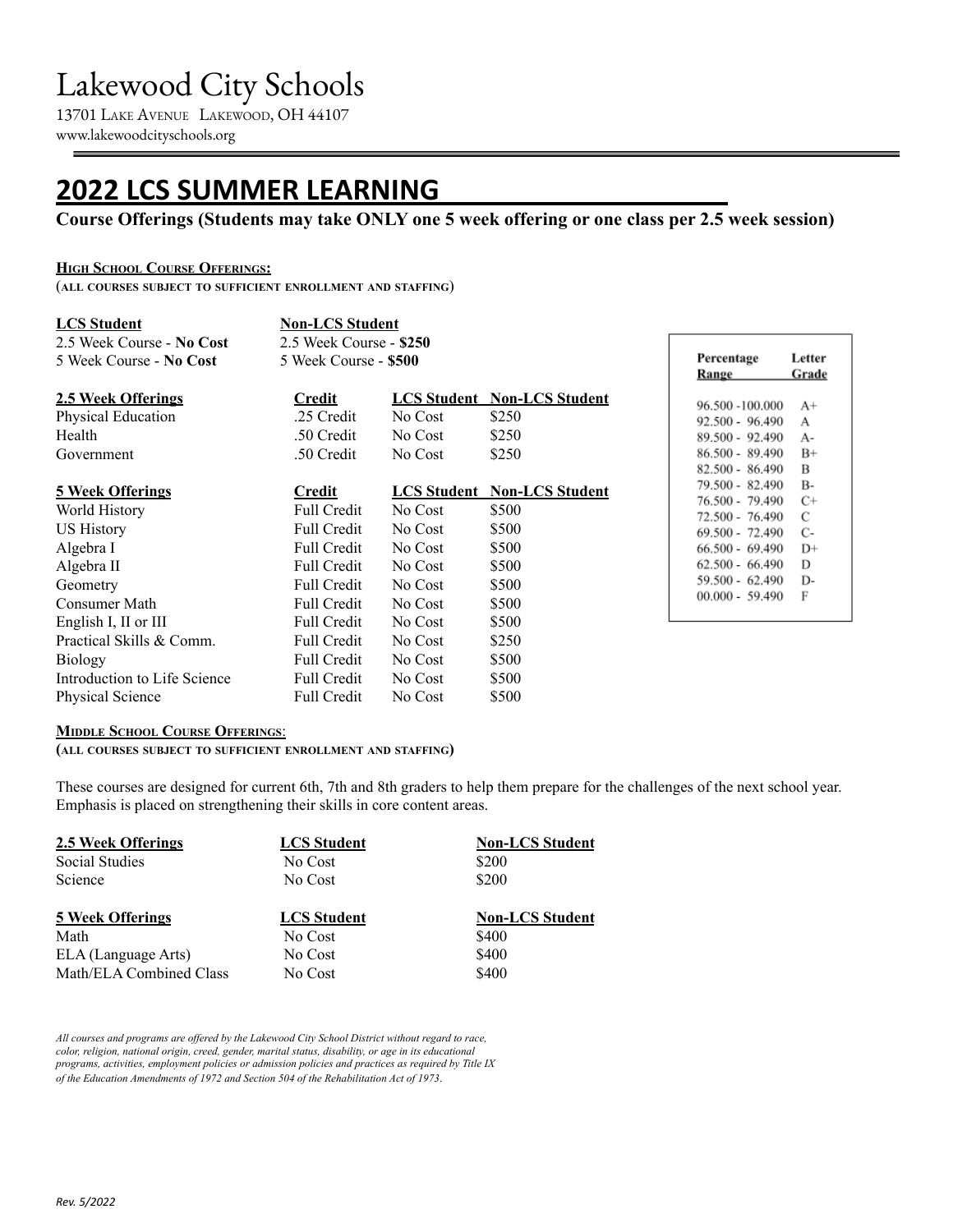# Lakewood City Schools

13701 LAKE AVENUE LAKEWOOD, OH 44107 www.lakewoodcityschools.org

# **2022 LCS SUMMER LEARNING**

## **Course Offerings (Students may take ONLY one 5 week offering or one class per 2.5 week session)**

### **HIGH SCHOOL COURSE OFFERINGS:**

(**ALL COURSES SUBJECT TO SUFFICIENT ENROLLMENT AND STAFFING**)

| <b>LCS Student</b>           | <b>Non-LCS Student</b>  |         |                                    |  |
|------------------------------|-------------------------|---------|------------------------------------|--|
| 2.5 Week Course - No Cost    | 2.5 Week Course - \$250 |         |                                    |  |
| 5 Week Course - No Cost      | 5 Week Course - \$500   |         |                                    |  |
| 2.5 Week Offerings           | Credit                  |         | <b>LCS Student Non-LCS Student</b> |  |
| Physical Education           | .25 Credit              | No Cost | \$250                              |  |
| Health                       | .50 Credit              | No Cost | \$250                              |  |
| Government                   | .50 Credit              | No Cost | \$250                              |  |
| <b>5 Week Offerings</b>      | Credit                  |         | <b>LCS Student Non-LCS Student</b> |  |
| World History                | <b>Full Credit</b>      | No Cost | \$500                              |  |
| <b>US History</b>            | <b>Full Credit</b>      | No Cost | \$500                              |  |
| Algebra I                    | <b>Full Credit</b>      | No Cost | \$500                              |  |
| Algebra II                   | <b>Full Credit</b>      | No Cost | \$500                              |  |
| Geometry                     | <b>Full Credit</b>      | No Cost | \$500                              |  |
| Consumer Math                | <b>Full Credit</b>      | No Cost | \$500                              |  |
| English I, II or III         | <b>Full Credit</b>      | No Cost | \$500                              |  |
| Practical Skills & Comm.     | <b>Full Credit</b>      | No Cost | \$250                              |  |
| <b>Biology</b>               | <b>Full Credit</b>      | No Cost | \$500                              |  |
| Introduction to Life Science | <b>Full Credit</b>      | No Cost | \$500                              |  |
| <b>Physical Science</b>      | <b>Full Credit</b>      | No Cost | \$500                              |  |

| Percentage<br><b>Range</b> | Letter<br>Grade |
|----------------------------|-----------------|
| 96.500 -100.000            | $A+$            |
| 92.500 - 96.490            | А               |
| 89.500 - 92.490            | $A -$           |
| 86.500 - 89.490            | $B+$            |
| 82.500 - 86.490            | в               |
| 79.500 - 82.490            | B-              |
| 76.500 - 79.490            | C+              |
| 72.500 - 76.490            | С               |
| 69.500 - 72.490            | С-              |
| 66.500 - 69.490            | D+              |
| 62.500 - 66.490            | D               |
| 59.500 - 62.490            | D-              |
| 00.000 - 59.490            | F               |

### **MIDDLE SCHOOL COURSE OFFERINGS**:

**(ALL COURSES SUBJECT TO SUFFICIENT ENROLLMENT AND STAFFING)**

These courses are designed for current 6th, 7th and 8th graders to help them prepare for the challenges of the next school year. Emphasis is placed on strengthening their skills in core content areas.

| 2.5 Week Offerings      | <b>LCS</b> Student | <b>Non-LCS Student</b> |
|-------------------------|--------------------|------------------------|
| Social Studies          | No Cost            | \$200                  |
| Science                 | No Cost            | \$200                  |
|                         |                    |                        |
| <b>5 Week Offerings</b> | <b>LCS</b> Student | <b>Non-LCS Student</b> |
| Math                    | No Cost            | \$400                  |
| ELA (Language Arts)     | No Cost            | \$400                  |

*All courses and programs are of ered by the Lakewood City School District without regard to race, color, religion, national origin, creed, gender, marital status, disability, or age in its educational programs, activities, employment policies or admission policies and practices as required by Title IX of the Education Amendments of 1972 and Section 504 of the Rehabilitation Act of 1973.*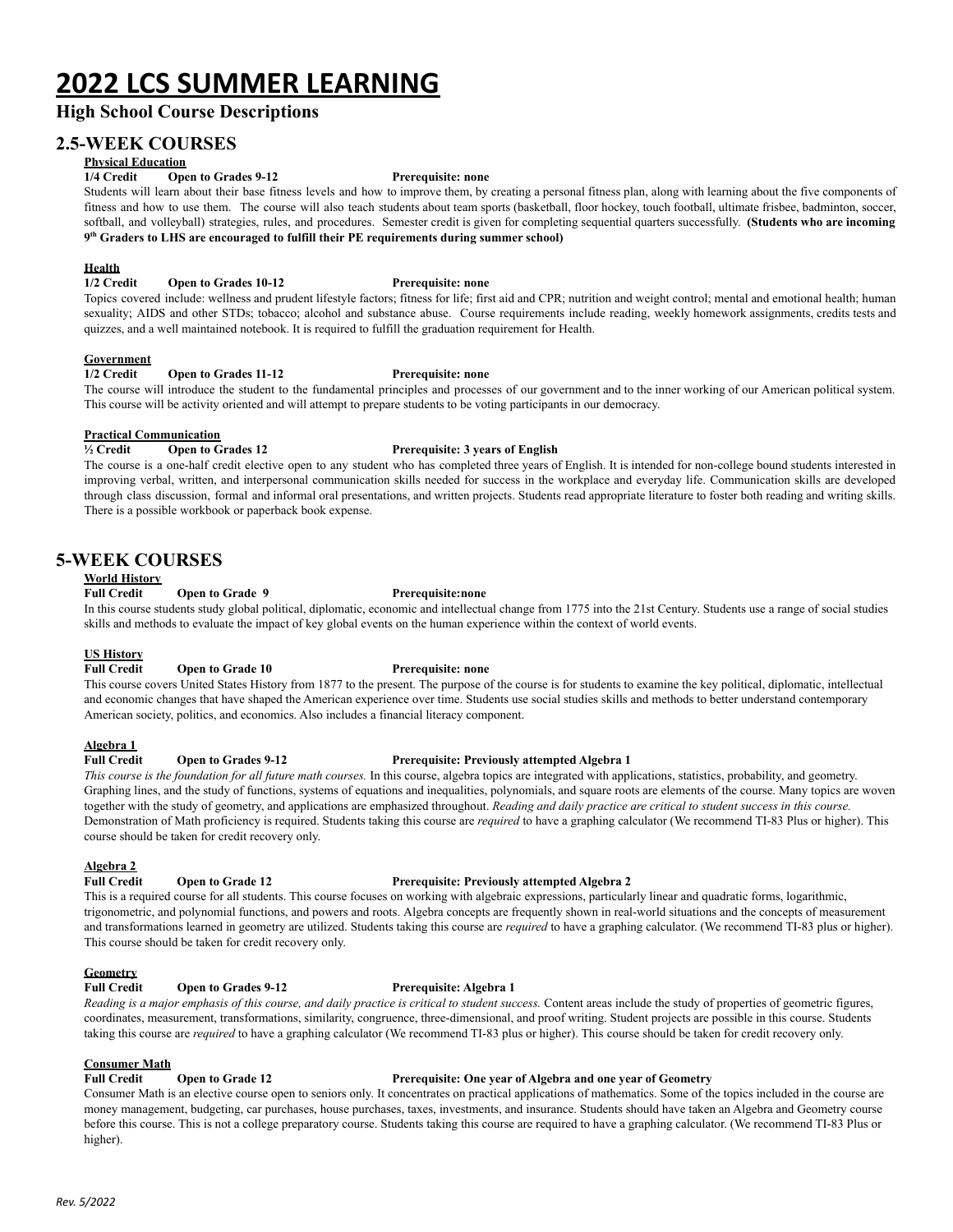# **2022 LCS SUMMER LEARNING**

## **High School Course Descriptions**

### **2.5-WEEK COURSES**

### **Physical Education**

#### **1/4 Credit Open to Grades 9-12 Prerequisite: none**

Students will learn about their base fitness levels and how to improve them, by creating a personal fitness plan, along with learning about the five components of fitness and how to use them. The course will also teach students about team sports (basketball, floor hockey, touch football, ultimate frisbee, badminton, soccer, softball, and volleyball) strategies, rules, and procedures. Semester credit is given for completing sequential quarters successfully. **(Students who are incoming 9 th Graders to LHS are encouraged to fulfill their PE requirements during summer school)**

#### **Health**

#### **1/2 Credit Open to Grades 10-12 Prerequisite: none**

Topics covered include: wellness and prudent lifestyle factors; fitness for life; first aid and CPR; nutrition and weight control; mental and emotional health; human sexuality; AIDS and other STDs; tobacco; alcohol and substance abuse. Course requirements include reading, weekly homework assignments, credits tests and quizzes, and a well maintained notebook. It is required to fulfill the graduation requirement for Health.

#### **Government**

#### **1/2 Credit Open to Grades 11-12 Prerequisite: none**

The course will introduce the student to the fundamental principles and processes of our government and to the inner working of our American political system. This course will be activity oriented and will attempt to prepare students to be voting participants in our democracy.

#### **Practical Communication**

#### **½ Credit Open to Grades 12 Prerequisite: 3 years of English**

The course is a one-half credit elective open to any student who has completed three years of English. It is intended for non-college bound students interested in improving verbal, written, and interpersonal communication skills needed for success in the workplace and everyday life. Communication skills are developed through class discussion, formal and informal oral presentations, and written projects. Students read appropriate literature to foster both reading and writing skills. There is a possible workbook or paperback book expense.

### **5-WEEK COURSES**

#### **World History**

#### **Full Credit Open to Grade 9 Prerequisite:none**

In this course students study global political, diplomatic, economic and intellectual change from 1775 into the 21st Century. Students use a range of social studies skills and methods to evaluate the impact of key global events on the human experience within the context of world events.

#### **US History**

#### **Full Credit Open to Grade 10 Prerequisite: none**

This course covers United States History from 1877 to the present. The purpose of the course is for students to examine the key political, diplomatic, intellectual and economic changes that have shaped the American experience over time. Students use social studies skills and methods to better understand contemporary American society, politics, and economics. Also includes a financial literacy component.

## **Algebra 1**

#### **Full Credit Open to Grades 9-12 Prerequisite: Previously attempted Algebra 1**

This course is the foundation for all future math courses. In this course, algebra topics are integrated with applications, statistics, probability, and geometry. Graphing lines, and the study of functions, systems of equations and inequalities, polynomials, and square roots are elements of the course. Many topics are woven together with the study of geometry, and applications are emphasized throughout. Reading and daily practice are critical to student success in this course. Demonstration of Math proficiency is required. Students taking this course are *required* to have a graphing calculator (We recommend TI-83 Plus or higher). This course should be taken for credit recovery only.

#### **Algebra 2**

#### **Full Credit Open to Grade 12 Prerequisite: Previously attempted Algebra 2**

This is a required course for all students. This course focuses on working with algebraic expressions, particularly linear and quadratic forms, logarithmic, trigonometric, and polynomial functions, and powers and roots. Algebra concepts are frequently shown in real-world situations and the concepts of measurement and transformations learned in geometry are utilized. Students taking this course are *required* to have a graphing calculator. (We recommend TI-83 plus or higher). This course should be taken for credit recovery only.

#### **Geometry**

**Full Credit Open to Grades 9-12 Prerequisite: Algebra 1**

Reading is a major emphasis of this course, and daily practice is critical to student success. Content areas include the study of properties of geometric figures, coordinates, measurement, transformations, similarity, congruence, three-dimensional, and proof writing. Student projects are possible in this course. Students taking this course are *required* to have a graphing calculator (We recommend TI-83 plus or higher). This course should be taken for credit recovery only.

#### **Consumer Math**

#### **Full Credit Open to Grade 12 Prerequisite: One year of Algebra and one year of Geometry**

Consumer Math is an elective course open to seniors only. It concentrates on practical applications of mathematics. Some of the topics included in the course are money management, budgeting, car purchases, house purchases, taxes, investments, and insurance. Students should have taken an Algebra and Geometry course before this course. This is not a college preparatory course. Students taking this course are required to have a graphing calculator. (We recommend TI-83 Plus or higher).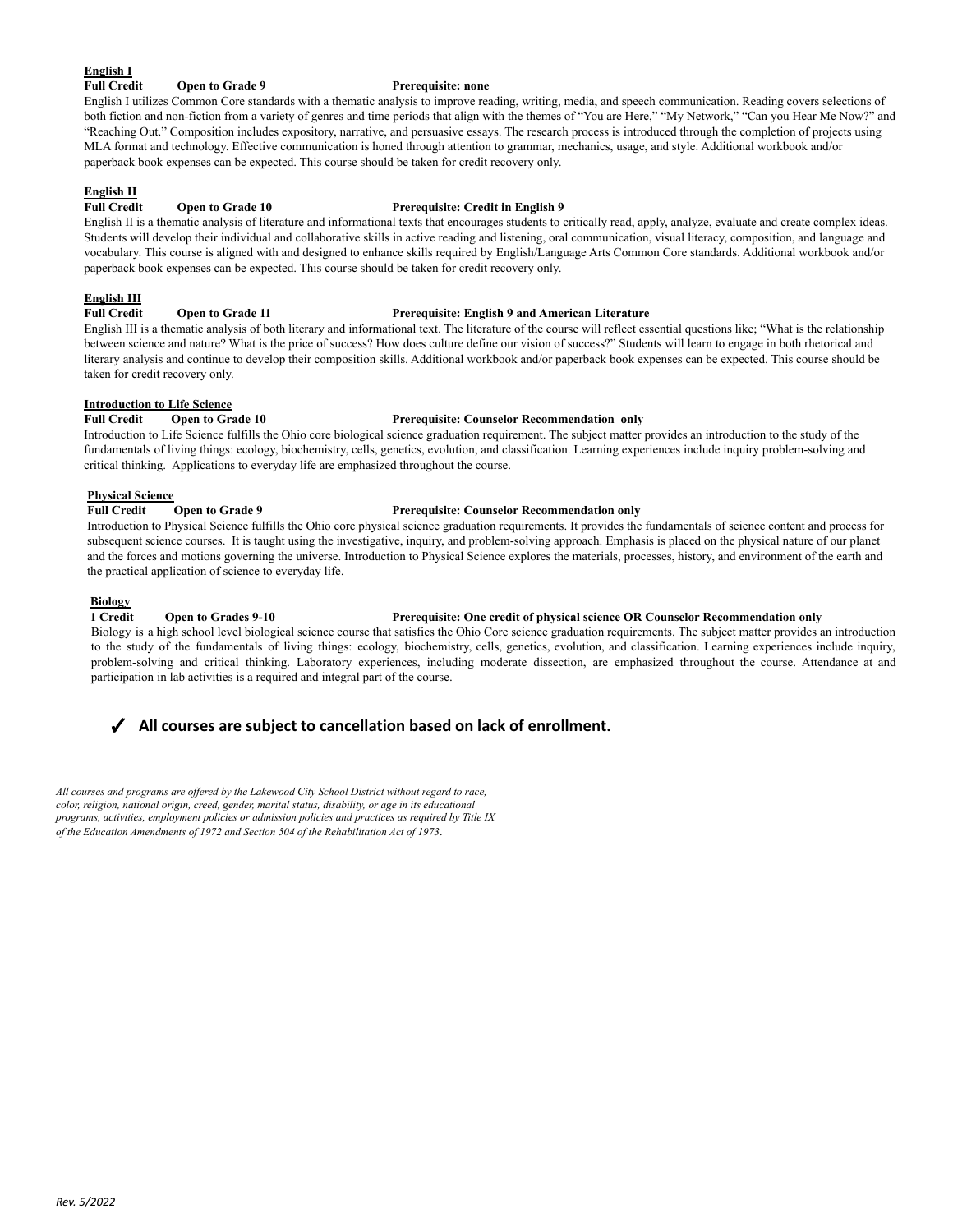### **English I**

**Full Credit Open to Grade 9 Prerequisite: none**

English I utilizes Common Core standards with a thematic analysis to improve reading, writing, media, and speech communication. Reading covers selections of both fiction and non-fiction from a variety of genres and time periods that align with the themes of "You are Here," "My Network," "Can you Hear Me Now?" and "Reaching Out." Composition includes expository, narrative, and persuasive essays. The research process is introduced through the completion of projects using MLA format and technology. Effective communication is honed through attention to grammar, mechanics, usage, and style. Additional workbook and/or paperback book expenses can be expected. This course should be taken for credit recovery only.

## **English II**

#### **Full Credit Open to Grade 10 Prerequisite: Credit in English 9** English II is a thematic analysis of literature and informational texts that encourages students to critically read, apply, analyze, evaluate and create complex ideas. Students will develop their individual and collaborative skills in active reading and listening, oral communication, visual literacy, composition, and language and vocabulary. This course is aligned with and designed to enhance skills required by English/Language Arts Common Core standards. Additional workbook and/or

#### **English III**

#### **Full Credit Open to Grade 11 Prerequisite: English 9 and American Literature**

English III is a thematic analysis of both literary and informational text. The literature of the course will reflect essential questions like; "What is the relationship between science and nature? What is the price of success? How does culture define our vision of success?" Students will learn to engage in both rhetorical and literary analysis and continue to develop their composition skills. Additional workbook and/or paperback book expenses can be expected. This course should be taken for credit recovery only.

#### **Introduction to Life Science**

#### **Full Credit Open to Grade 10 Prerequisite: Counselor Recommendation only**

Introduction to Life Science fulfills the Ohio core biological science graduation requirement. The subject matter provides an introduction to the study of the fundamentals of living things: ecology, biochemistry, cells, genetics, evolution, and classification. Learning experiences include inquiry problem-solving and critical thinking. Applications to everyday life are emphasized throughout the course.

#### **Physical Science**

### **Full Credit Open to Grade 9 Prerequisite: Counselor Recommendation only**

paperback book expenses can be expected. This course should be taken for credit recovery only.

Introduction to Physical Science fulfills the Ohio core physical science graduation requirements. It provides the fundamentals of science content and process for subsequent science courses. It is taught using the investigative, inquiry, and problem-solving approach. Emphasis is placed on the physical nature of our planet and the forces and motions governing the universe. Introduction to Physical Science explores the materials, processes, history, and environment of the earth and the practical application of science to everyday life.

#### **Biology**

#### **1 Credit Open to Grades 9-10 Prerequisite: One credit of physical science OR Counselor Recommendation only**

Biology is a high school level biological science course that satisfies the Ohio Core science graduation requirements. The subject matter provides an introduction to the study of the fundamentals of living things: ecology, biochemistry, cells, genetics, evolution, and classification. Learning experiences include inquiry, problem-solving and critical thinking. Laboratory experiences, including moderate dissection, are emphasized throughout the course. Attendance at and participation in lab activities is a required and integral part of the course.

### ✓ **All courses are subject to cancellation based on lack of enrollment.**

*All courses and programs are of ered by the Lakewood City School District without regard to race, color, religion, national origin, creed, gender, marital status, disability, or age in its educational programs, activities, employment policies or admission policies and practices as required by Title IX of the Education Amendments of 1972 and Section 504 of the Rehabilitation Act of 1973.*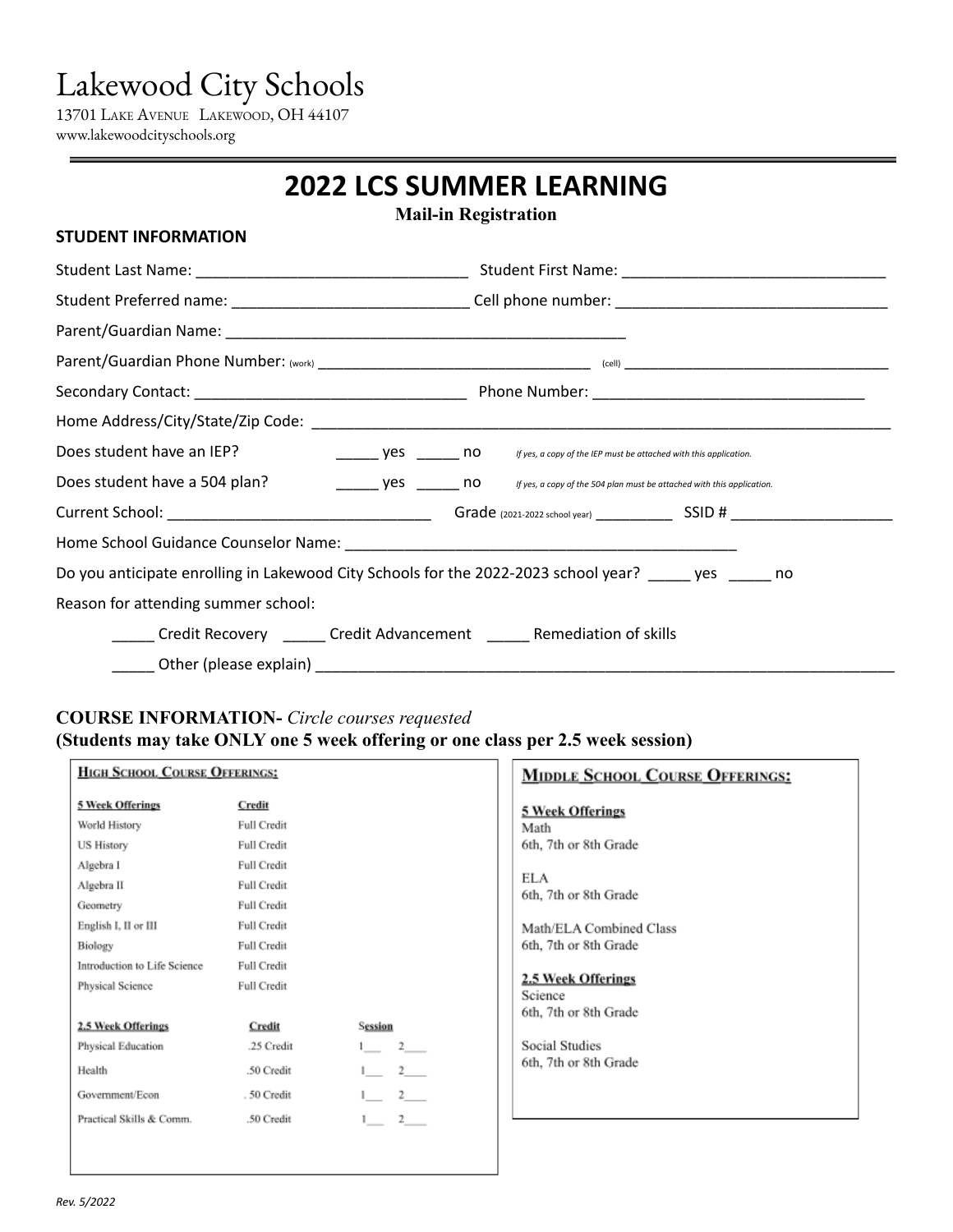# Lakewood City Schools

13701 LAKE AVENUE LAKEWOOD, OH 44107 www.lakewoodcityschools.org

# **2022 LCS SUMMER LEARNING**

**Mail-in Registration**

| <b>STUDENT INFORMATION</b>          |                                                                                                                     |  |  |
|-------------------------------------|---------------------------------------------------------------------------------------------------------------------|--|--|
|                                     |                                                                                                                     |  |  |
|                                     | Student Preferred name: _________________________________Cell phone number: __________________________________      |  |  |
|                                     |                                                                                                                     |  |  |
|                                     |                                                                                                                     |  |  |
|                                     |                                                                                                                     |  |  |
|                                     |                                                                                                                     |  |  |
| Does student have an IEP?           | If yes, a copy of the IEP must be attached with this application.                                                   |  |  |
|                                     | Does student have a 504 plan?<br>yes ______ no fyes, a copy of the 504 plan must be attached with this application. |  |  |
|                                     |                                                                                                                     |  |  |
|                                     |                                                                                                                     |  |  |
|                                     | Do you anticipate enrolling in Lakewood City Schools for the 2022-2023 school year? _____ yes _____ no              |  |  |
| Reason for attending summer school: |                                                                                                                     |  |  |
|                                     | _____ Credit Recovery ______ Credit Advancement _____ Remediation of skills                                         |  |  |
|                                     |                                                                                                                     |  |  |

## **COURSE INFORMATION-** *Circle courses requested* **(Students may take ONLY one 5 week offering or one class per 2.5 week session)**

| <b>HIGH SCHOOL COURSE OFFERINGS:</b> |                    |                                       | <b>MIDDLE SCHOOL COURSE OFFERINGS:</b> |
|--------------------------------------|--------------------|---------------------------------------|----------------------------------------|
| 5 Week Offerings                     | Credit             |                                       | <b>5 Week Offerings</b>                |
| World History                        | Full Credit        |                                       | Math                                   |
| <b>US History</b>                    | Full Credit        |                                       | 6th, 7th or 8th Grade                  |
| Algebra I                            | <b>Full Credit</b> |                                       |                                        |
| Algebra II                           | <b>Full Credit</b> |                                       | ELA                                    |
| Geometry                             | Full Credit        |                                       | 6th, 7th or 8th Grade                  |
| English I, II or III                 | Full Credit        |                                       | Math/ELA Combined Class                |
| Biology                              | Full Credit        |                                       | 6th, 7th or 8th Grade                  |
| Introduction to Life Science         | Full Credit        |                                       |                                        |
| Physical Science                     | Full Credit        |                                       | 2.5 Week Offerings                     |
|                                      |                    |                                       | Science<br>6th, 7th or 8th Grade       |
| 2.5 Week Offerings                   | Credit             | Session                               |                                        |
| Physical Education                   | 25 Credit          | $2$ <sub>——</sub><br>$1$ <sub>—</sub> | <b>Social Studies</b>                  |
| Health                               | .50 Credit         | $2 -$                                 | 6th, 7th or 8th Grade                  |
| Government/Econ                      | .50 Credit         | $2^{\circ}$                           |                                        |
| Practical Skills & Comm.             | .50 Credit         | $^{2}$                                |                                        |
|                                      |                    |                                       |                                        |